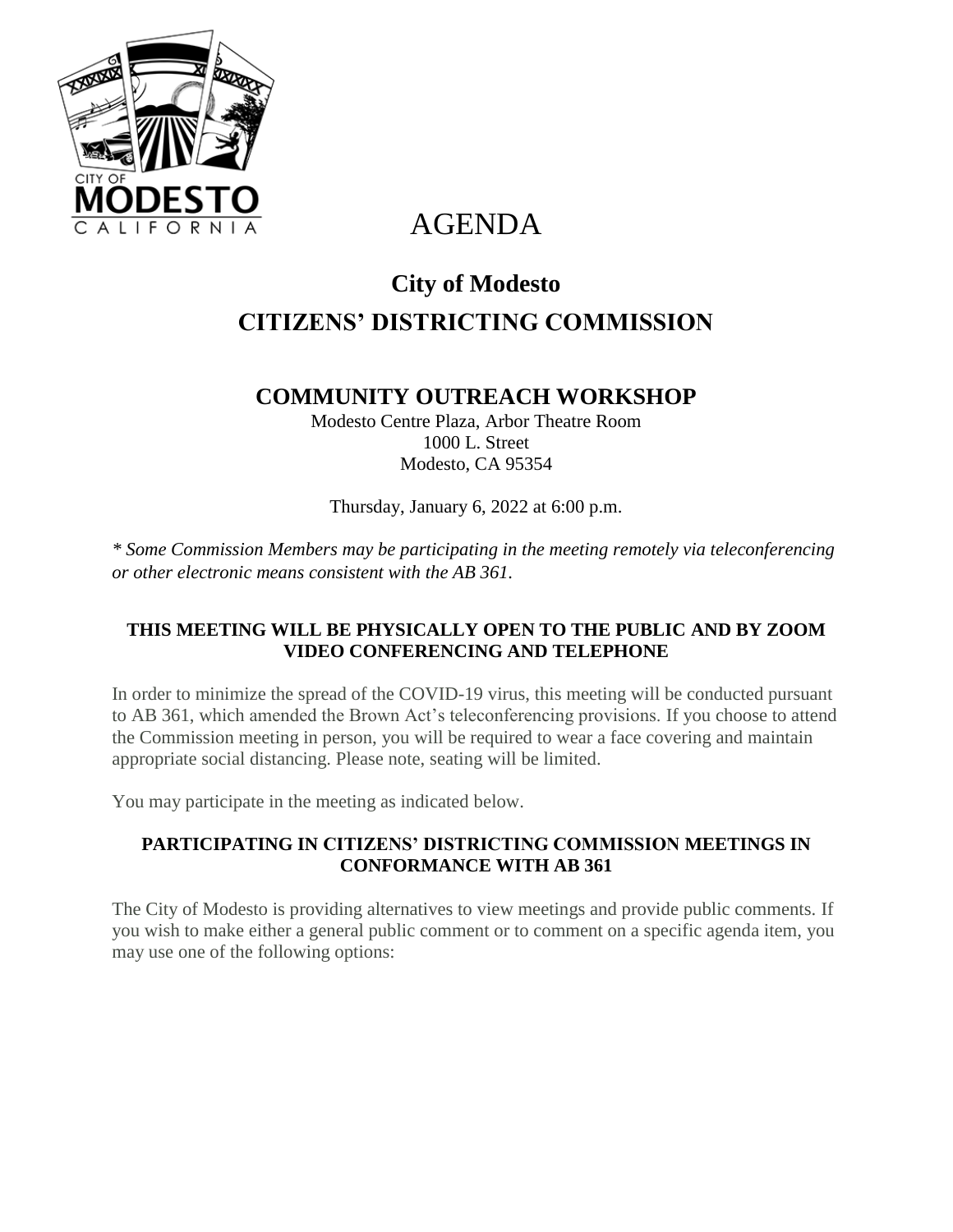

# AGENDA

# **City of Modesto CITIZENS' DISTRICTING COMMISSION**

# **COMMUNITY OUTREACH WORKSHOP**

Modesto Centre Plaza, Arbor Theatre Room 1000 L. Street Modesto, CA 95354

Thursday, January 6, 2022 at 6:00 p.m.

*\* Some Commission Members may be participating in the meeting remotely via teleconferencing or other electronic means consistent with the AB 361.*

## **THIS MEETING WILL BE PHYSICALLY OPEN TO THE PUBLIC AND BY ZOOM VIDEO CONFERENCING AND TELEPHONE**

In order to minimize the spread of the COVID-19 virus, this meeting will be conducted pursuant to AB 361, which amended the Brown Act's teleconferencing provisions. If you choose to attend the Commission meeting in person, you will be required to wear a face covering and maintain appropriate social distancing. Please note, seating will be limited.

You may participate in the meeting as indicated below.

### **PARTICIPATING IN CITIZENS' DISTRICTING COMMISSION MEETINGS IN CONFORMANCE WITH AB 361**

The City of Modesto is providing alternatives to view meetings and provide public comments. If you wish to make either a general public comment or to comment on a specific agenda item, you may use one of the following options: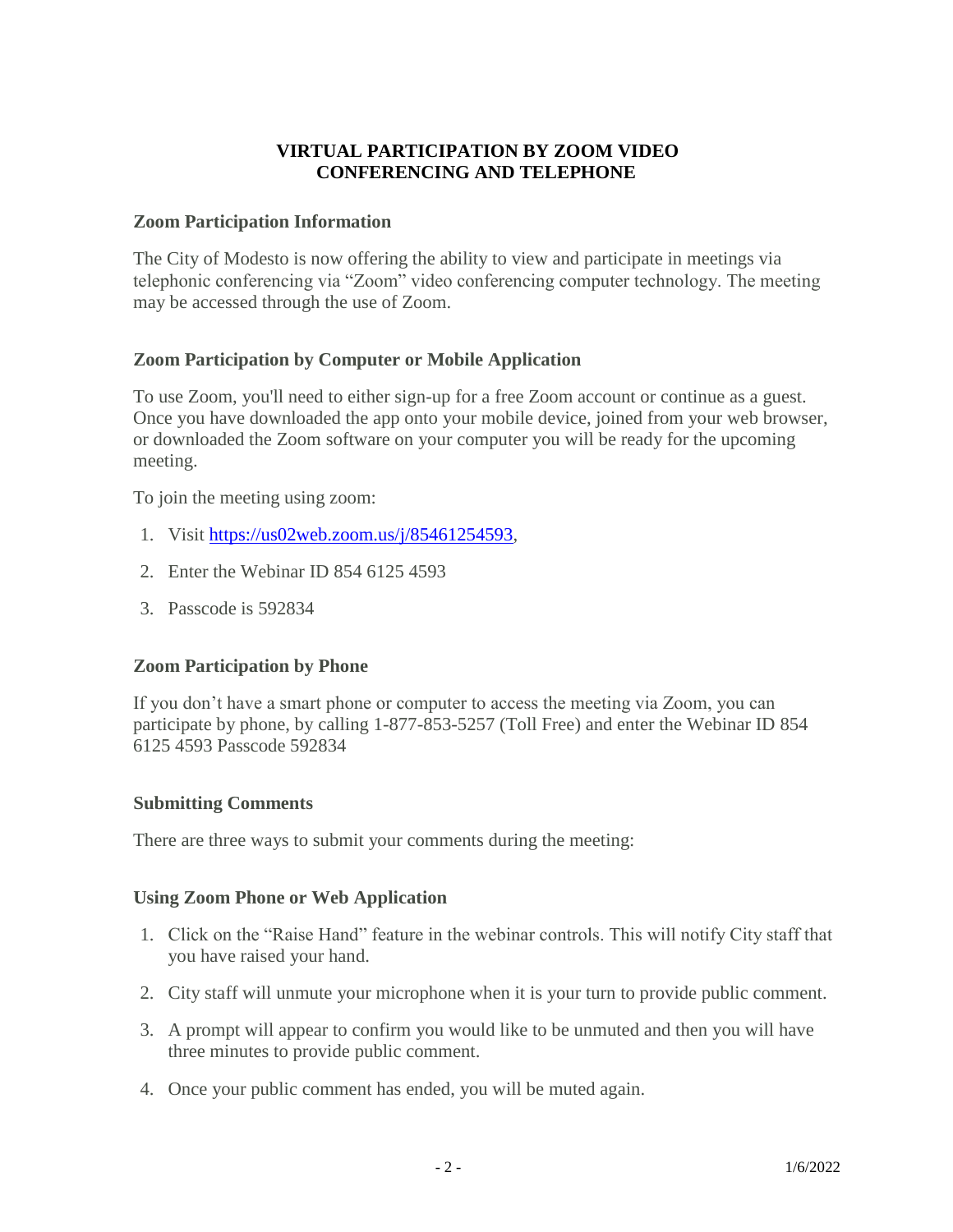#### **VIRTUAL PARTICIPATION BY ZOOM VIDEO CONFERENCING AND TELEPHONE**

#### **Zoom Participation Information**

The City of Modesto is now offering the ability to view and participate in meetings via telephonic conferencing via "Zoom" video conferencing computer technology. The meeting may be accessed through the use of Zoom.

#### **Zoom Participation by Computer or Mobile Application**

To use Zoom, you'll need to either sign-up for a free Zoom account or continue as a guest. Once you have downloaded the app onto your mobile device, joined from your web browser, or downloaded the Zoom software on your computer you will be ready for the upcoming meeting.

To join the meeting using zoom:

- 1. Visit [https://us02web.zoom.us/j/85461254593,](https://us02web.zoom.us/j/85461254593)
- 2. Enter the Webinar ID 854 6125 4593
- 3. Passcode is 592834

#### **Zoom Participation by Phone**

If you don't have a smart phone or computer to access the meeting via Zoom, you can participate by phone, by calling 1-877-853-5257 (Toll Free) and enter the Webinar ID 854 6125 4593 Passcode 592834

#### **Submitting Comments**

There are three ways to submit your comments during the meeting:

#### **Using Zoom Phone or Web Application**

- 1. Click on the "Raise Hand" feature in the webinar controls. This will notify City staff that you have raised your hand.
- 2. City staff will unmute your microphone when it is your turn to provide public comment.
- 3. A prompt will appear to confirm you would like to be unmuted and then you will have three minutes to provide public comment.
- 4. Once your public comment has ended, you will be muted again.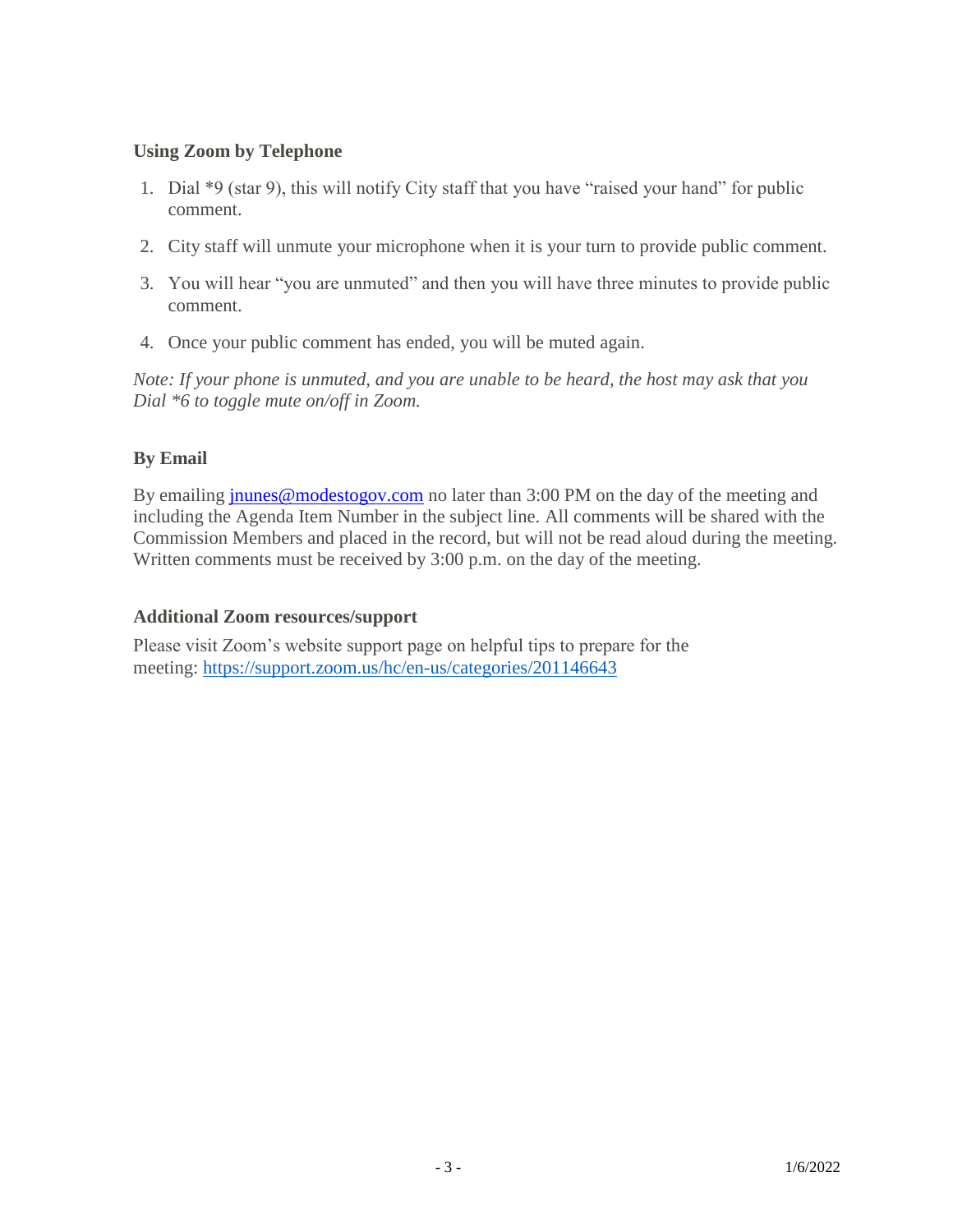#### **Using Zoom by Telephone**

- 1. Dial \*9 (star 9), this will notify City staff that you have "raised your hand" for public comment.
- 2. City staff will unmute your microphone when it is your turn to provide public comment.
- 3. You will hear "you are unmuted" and then you will have three minutes to provide public comment.
- 4. Once your public comment has ended, you will be muted again.

*Note: If your phone is unmuted, and you are unable to be heard, the host may ask that you Dial \*6 to toggle mute on/off in Zoom.*

### **By Email**

By emailing [jnunes@modestogov.com](mailto:jnunes@modestogov.com) no later than 3:00 PM on the day of the meeting and including the Agenda Item Number in the subject line. All comments will be shared with the Commission Members and placed in the record, but will not be read aloud during the meeting. Written comments must be received by 3:00 p.m. on the day of the meeting.

#### **Additional Zoom resources/support**

Please visit Zoom's website support page on helpful tips to prepare for the meeting: <https://support.zoom.us/hc/en-us/categories/201146643>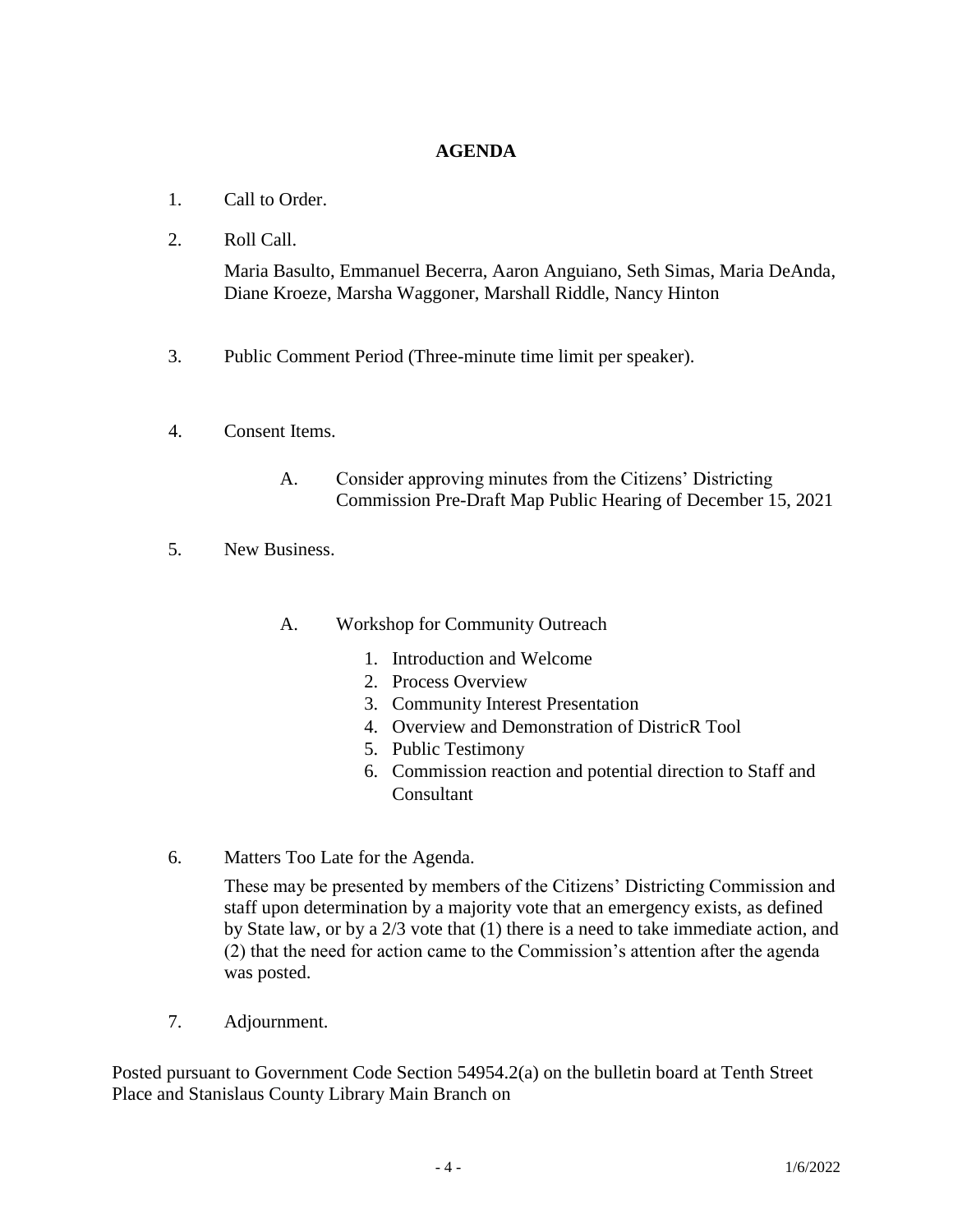#### **AGENDA**

- 1. Call to Order.
- 2. Roll Call.

Maria Basulto, Emmanuel Becerra, Aaron Anguiano, Seth Simas, Maria DeAnda, Diane Kroeze, Marsha Waggoner, Marshall Riddle, Nancy Hinton

- 3. Public Comment Period (Three-minute time limit per speaker).
- 4. Consent Items.
	- A. Consider approving minutes from the Citizens' Districting Commission Pre-Draft Map Public Hearing of December 15, 2021
- 5. New Business.

#### A. Workshop for Community Outreach

- 1. Introduction and Welcome
- 2. Process Overview
- 3. Community Interest Presentation
- 4. Overview and Demonstration of DistricR Tool
- 5. Public Testimony
- 6. Commission reaction and potential direction to Staff and **Consultant**
- 6. Matters Too Late for the Agenda.

These may be presented by members of the Citizens' Districting Commission and staff upon determination by a majority vote that an emergency exists, as defined by State law, or by a 2/3 vote that (1) there is a need to take immediate action, and (2) that the need for action came to the Commission's attention after the agenda was posted.

7. Adjournment.

Posted pursuant to Government Code Section 54954.2(a) on the bulletin board at Tenth Street Place and Stanislaus County Library Main Branch on